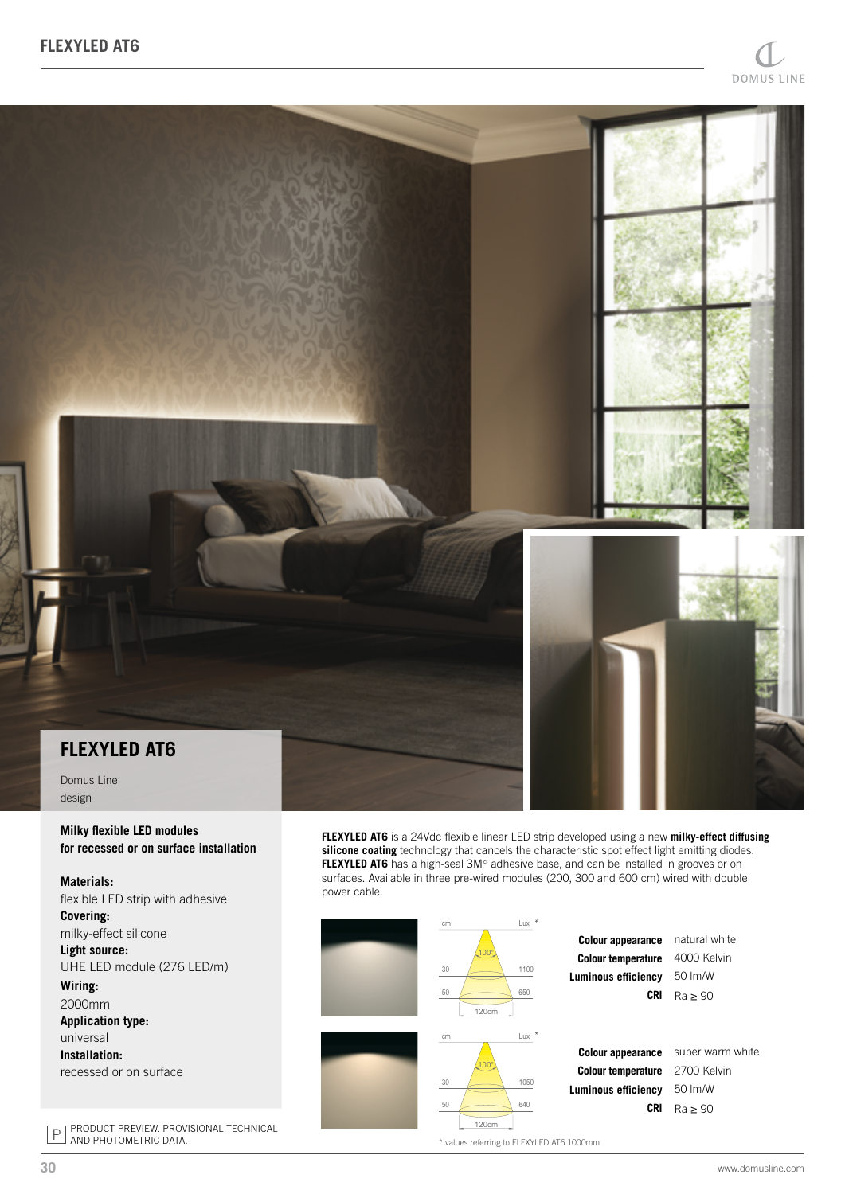

Domus Line design

## **Milky flexible LED modules for recessed or on surface installation**

## **Materials:** flexible LED strip with adhesive

**Covering:** milky-effect silicone **Light source:** UHE LED module (276 LED/m) **Wiring:** 2000mm **Application type:** universal **Installation:** recessed or on surface

P PRODUCT PREVIEW. PROVISIONAL TECHNICAL AND PHOTOMETRIC DATA.

**FLEXYLED AT6** is a 24Vdc flexible linear LED strip developed using a new **milky-effect diffusing**  silicone coating technology that cancels the characteristic spot effect light emitting diodes. **FLEXYLED AT6** has a high-seal 3M<sup>®</sup> adhesive base, and can be installed in grooves or on surfaces. Available in three pre-wired modules (200, 300 and 600 cm) wired with double power cable.



\* values referring to FLEXYLED AT6 1000mm